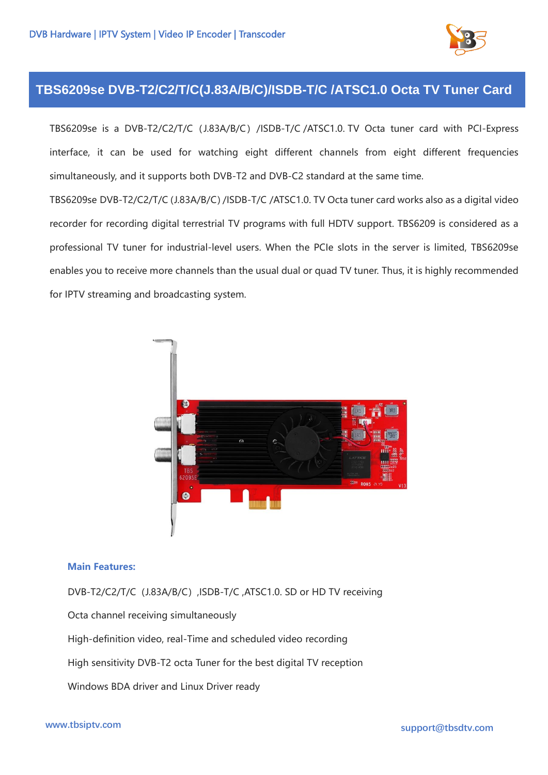

## **TBS6209se DVB-T2/C2/T/C(J.83A/B/C)/ISDB-T/C /ATSC1.0 Octa TV Tuner Card**

TBS6209se is a DVB-T2/C2/T/C (J.83A/B/C) /ISDB-T/C /ATSC1.0. TV Octa tuner card with PCI-Express interface, it can be used for watching eight different channels from eight different frequencies simultaneously, and it supports both DVB-T2 and DVB-C2 standard at the same time.

TBS6209se DVB-T2/C2/T/C(J.83A/B/C)/ISDB-T/C /ATSC1.0. TV Octa tuner card works also as a digital video recorder for recording digital terrestrial TV programs with full HDTV support. TBS6209 is considered as a professional TV tuner for industrial-level users. When the PCIe slots in the server is limited, TBS6209se enables you to receive more channels than the usual dual or quad TV tuner. Thus, it is highly recommended for IPTV streaming and broadcasting system.



## **Main Features:**

DVB-T2/C2/T/C (J.83A/B/C), ISDB-T/C, ATSC1.0. SD or HD TV receiving Octa channel receiving simultaneously High-definition video, real-Time and scheduled video recording High sensitivity DVB-T2 octa Tuner for the best digital TV reception Windows BDA driver and Linux Driver ready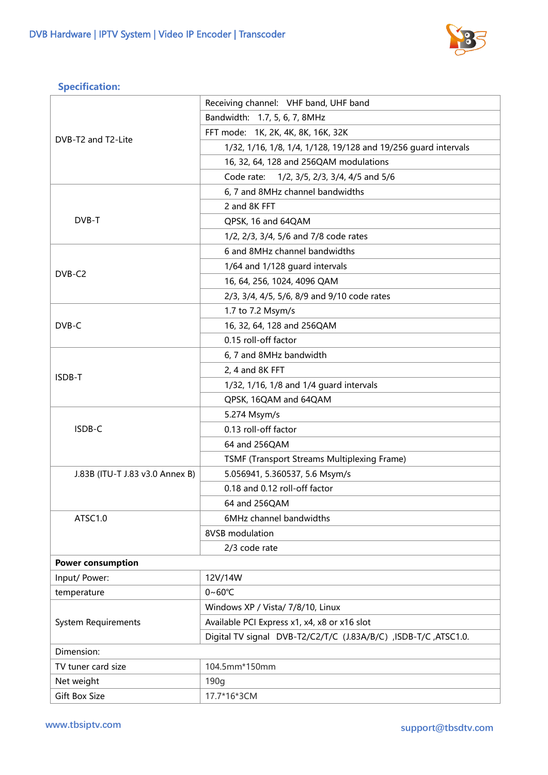

## **Specification:**

| DVB-T2 and T2-Lite              | Receiving channel: VHF band, UHF band                           |
|---------------------------------|-----------------------------------------------------------------|
|                                 | Bandwidth: 1.7, 5, 6, 7, 8MHz                                   |
|                                 | FFT mode: 1K, 2K, 4K, 8K, 16K, 32K                              |
|                                 | 1/32, 1/16, 1/8, 1/4, 1/128, 19/128 and 19/256 guard intervals  |
|                                 | 16, 32, 64, 128 and 256QAM modulations                          |
|                                 | 1/2, 3/5, 2/3, 3/4, 4/5 and 5/6<br>Code rate:                   |
| DVB-T                           | 6, 7 and 8MHz channel bandwidths                                |
|                                 | 2 and 8K FFT                                                    |
|                                 | QPSK, 16 and 64QAM                                              |
|                                 | 1/2, 2/3, 3/4, 5/6 and 7/8 code rates                           |
| DVB-C <sub>2</sub>              | 6 and 8MHz channel bandwidths                                   |
|                                 | 1/64 and 1/128 guard intervals                                  |
|                                 | 16, 64, 256, 1024, 4096 QAM                                     |
|                                 | 2/3, 3/4, 4/5, 5/6, 8/9 and 9/10 code rates                     |
| DVB-C                           | 1.7 to 7.2 Msym/s                                               |
|                                 | 16, 32, 64, 128 and 256QAM                                      |
|                                 | 0.15 roll-off factor                                            |
| ISDB-T                          | 6, 7 and 8MHz bandwidth                                         |
|                                 | 2, 4 and 8K FFT                                                 |
|                                 | 1/32, 1/16, 1/8 and 1/4 guard intervals                         |
|                                 | QPSK, 16QAM and 64QAM                                           |
| ISDB-C                          | 5.274 Msym/s                                                    |
|                                 | 0.13 roll-off factor                                            |
|                                 | 64 and 256QAM                                                   |
|                                 | TSMF (Transport Streams Multiplexing Frame)                     |
| J.83B (ITU-T J.83 v3.0 Annex B) | 5.056941, 5.360537, 5.6 Msym/s                                  |
|                                 | 0.18 and 0.12 roll-off factor                                   |
|                                 | 64 and 256QAM                                                   |
| ATSC1.0                         | 6MHz channel bandwidths                                         |
|                                 | 8VSB modulation                                                 |
|                                 | 2/3 code rate                                                   |
| <b>Power consumption</b>        |                                                                 |
| Input/ Power:                   | 12V/14W                                                         |
| temperature                     | $0 - 60^{\circ}C$                                               |
| <b>System Requirements</b>      | Windows XP / Vista/ 7/8/10, Linux                               |
|                                 | Available PCI Express x1, x4, x8 or x16 slot                    |
|                                 | Digital TV signal DVB-T2/C2/T/C (J.83A/B/C) ,ISDB-T/C ,ATSC1.0. |
| Dimension:                      |                                                                 |
| TV tuner card size              | 104.5mm*150mm                                                   |
| Net weight                      | 190g                                                            |
| <b>Gift Box Size</b>            | 17.7*16*3CM                                                     |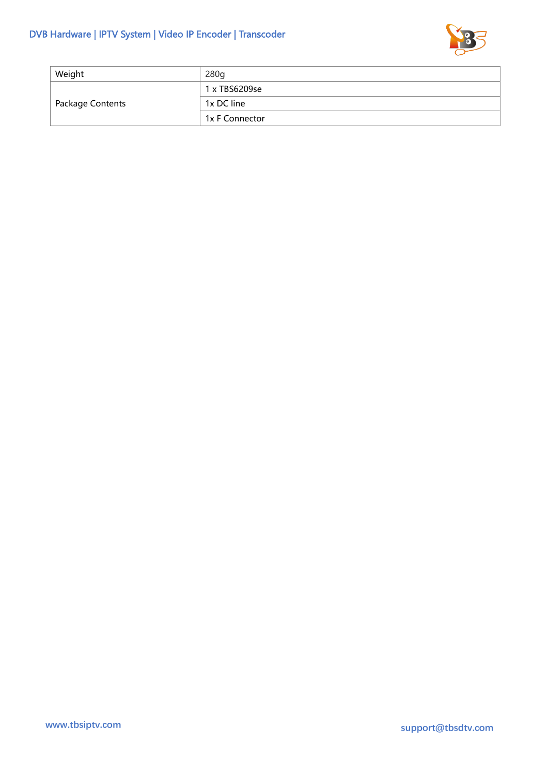

| Weight           | 280q           |
|------------------|----------------|
| Package Contents | 1 x TBS6209se  |
|                  | 1x DC line     |
|                  | 1x F Connector |